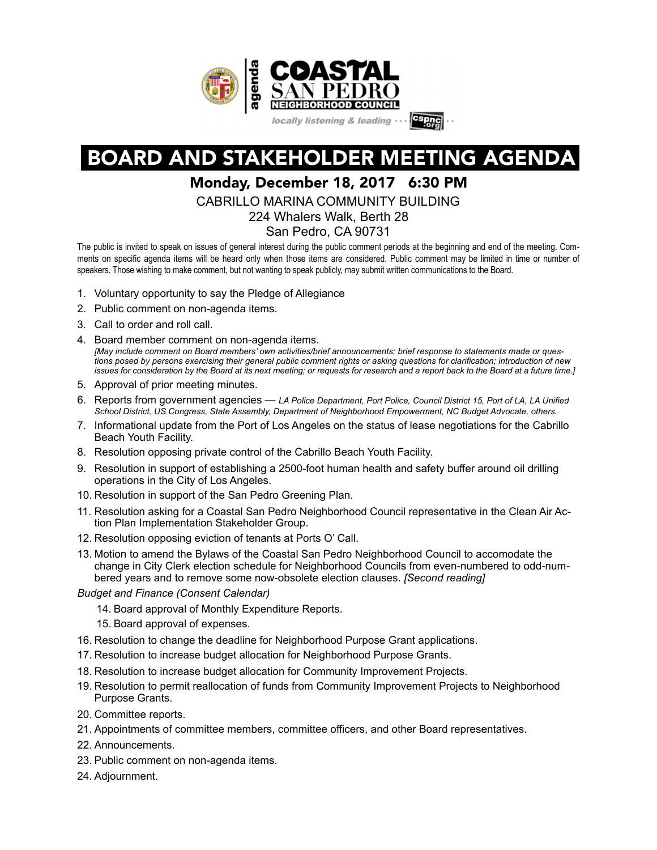

## BOARD AND STAKEHOLDER MEETING AGENDA

## Monday, December 18, 2017 6:30 PM

CABRILLO MARINA COMMUNITY BUILDING

224 Whalers Walk, Berth 28

San Pedro, CA 90731

The public is invited to speak on issues of general interest during the public comment periods at the beginning and end of the meeting. Comments on specific agenda items will be heard only when those items are considered. Public comment may be limited in time or number of speakers. Those wishing to make comment, but not wanting to speak publicly, may submit written communications to the Board.

- 1. Voluntary opportunity to say the Pledge of Allegiance
- 2. Public comment on non-agenda items.
- 3. Call to order and roll call.
- 4. Board member comment on non-agenda items. *[May include comment on Board members' own activities/brief announcements; brief response to statements made or questions posed by persons exercising their general public comment rights or asking questions for clarification; introduction of new issues for consideration by the Board at its next meeting; or requests for research and a report back to the Board at a future time.]*
- 5. Approval of prior meeting minutes.
- 6. Reports from government agencies *LA Police Department, Port Police, Council District 15, Port of LA, LA Unified School District, US Congress, State Assembly, Department of Neighborhood Empowerment, NC Budget Advocate, others.*
- 7. Informational update from the Port of Los Angeles on the status of lease negotiations for the Cabrillo Beach Youth Facility.
- 8. Resolution opposing private control of the Cabrillo Beach Youth Facility.
- 9. Resolution in support of establishing a 2500-foot human health and safety buffer around oil drilling operations in the City of Los Angeles.
- 10. Resolution in support of the San Pedro Greening Plan.
- 11. Resolution asking for a Coastal San Pedro Neighborhood Council representative in the Clean Air Action Plan Implementation Stakeholder Group.
- 12. Resolution opposing eviction of tenants at Ports O' Call.
- 13. Motion to amend the Bylaws of the Coastal San Pedro Neighborhood Council to accomodate the change in City Clerk election schedule for Neighborhood Councils from even-numbered to odd-numbered years and to remove some now-obsolete election clauses. *[Second reading]*

*Budget and Finance (Consent Calendar)* 

- 14. Board approval of Monthly Expenditure Reports.
- 15. Board approval of expenses.
- 16. Resolution to change the deadline for Neighborhood Purpose Grant applications.
- 17. Resolution to increase budget allocation for Neighborhood Purpose Grants.
- 18. Resolution to increase budget allocation for Community Improvement Projects.
- 19. Resolution to permit reallocation of funds from Community Improvement Projects to Neighborhood Purpose Grants.
- 20. Committee reports.
- 21. Appointments of committee members, committee officers, and other Board representatives.
- 22. Announcements.
- 23. Public comment on non-agenda items.
- 24. Adjournment.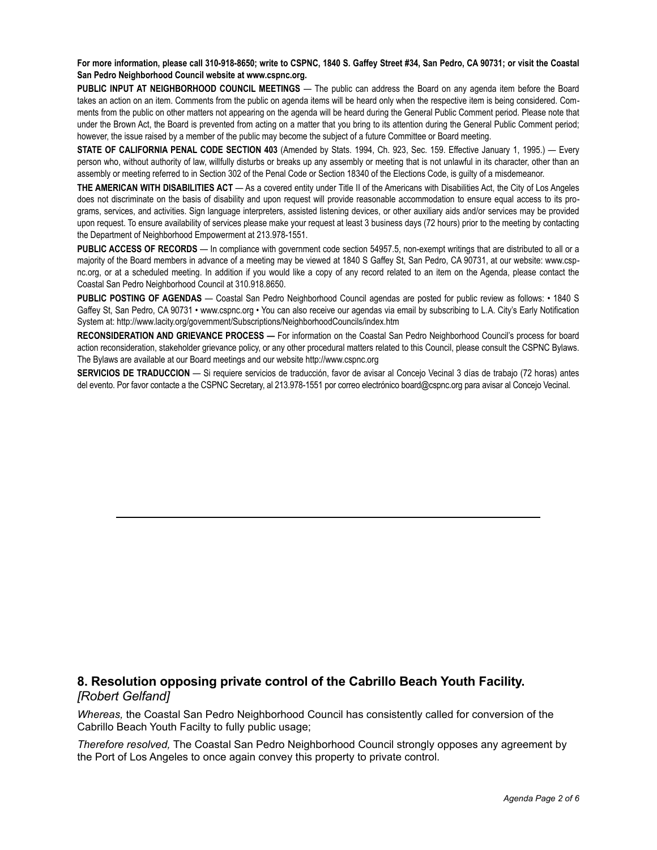**For more information, please call 310-918-8650; write to CSPNC, 1840 S. Gaffey Street #34, San Pedro, CA 90731; or visit the Coastal San Pedro Neighborhood Council website at www.cspnc.org.** 

**PUBLIC INPUT AT NEIGHBORHOOD COUNCIL MEETINGS** — The public can address the Board on any agenda item before the Board takes an action on an item. Comments from the public on agenda items will be heard only when the respective item is being considered. Comments from the public on other matters not appearing on the agenda will be heard during the General Public Comment period. Please note that under the Brown Act, the Board is prevented from acting on a matter that you bring to its attention during the General Public Comment period; however, the issue raised by a member of the public may become the subject of a future Committee or Board meeting.

**STATE OF CALIFORNIA PENAL CODE SECTION 403** (Amended by Stats. 1994, Ch. 923, Sec. 159. Effective January 1, 1995.) — Every person who, without authority of law, willfully disturbs or breaks up any assembly or meeting that is not unlawful in its character, other than an assembly or meeting referred to in Section 302 of the Penal Code or Section 18340 of the Elections Code, is guilty of a misdemeanor.

**THE AMERICAN WITH DISABILITIES ACT** — As a covered entity under Title II of the Americans with Disabilities Act, the City of Los Angeles does not discriminate on the basis of disability and upon request will provide reasonable accommodation to ensure equal access to its programs, services, and activities. Sign language interpreters, assisted listening devices, or other auxiliary aids and/or services may be provided upon request. To ensure availability of services please make your request at least 3 business days (72 hours) prior to the meeting by contacting the Department of Neighborhood Empowerment at 213.978-1551.

**PUBLIC ACCESS OF RECORDS** — In compliance with government code section 54957.5, non-exempt writings that are distributed to all or a majority of the Board members in advance of a meeting may be viewed at 1840 S Gaffey St, San Pedro, CA 90731, at our website: www.cspnc.org, or at a scheduled meeting. In addition if you would like a copy of any record related to an item on the Agenda, please contact the Coastal San Pedro Neighborhood Council at 310.918.8650.

**PUBLIC POSTING OF AGENDAS** — Coastal San Pedro Neighborhood Council agendas are posted for public review as follows: • 1840 S Gaffey St, San Pedro, CA 90731 • www.cspnc.org • You can also receive our agendas via email by subscribing to L.A. City's Early Notification System at: http://www.lacity.org/government/Subscriptions/NeighborhoodCouncils/index.htm

**RECONSIDERATION AND GRIEVANCE PROCESS —** For information on the Coastal San Pedro Neighborhood Council's process for board action reconsideration, stakeholder grievance policy, or any other procedural matters related to this Council, please consult the CSPNC Bylaws. The Bylaws are available at our Board meetings and our website http://www.cspnc.org

**SERVICIOS DE TRADUCCION** — Si requiere servicios de traducción, favor de avisar al Concejo Vecinal 3 días de trabajo (72 horas) antes del evento. Por favor contacte a the CSPNC Secretary, al 213.978-1551 por correo electrónico board@cspnc.org para avisar al Concejo Vecinal.

#### **8. Resolution opposing private control of the Cabrillo Beach Youth Facility.** *[Robert Gelfand]*

*Whereas,* the Coastal San Pedro Neighborhood Council has consistently called for conversion of the Cabrillo Beach Youth Facilty to fully public usage;

*Therefore resolved,* The Coastal San Pedro Neighborhood Council strongly opposes any agreement by the Port of Los Angeles to once again convey this property to private control.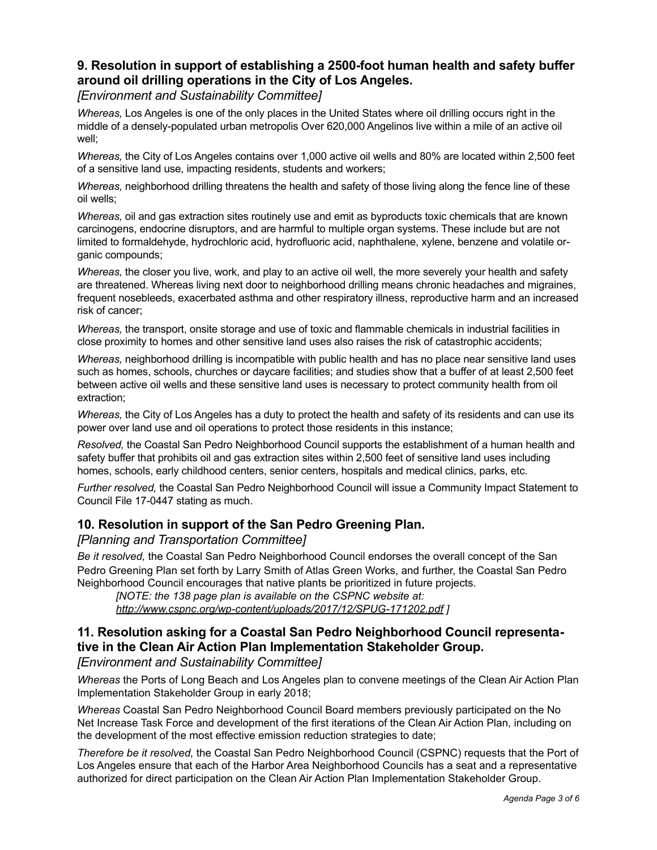## **9. Resolution in support of establishing a 2500-foot human health and safety buffer around oil drilling operations in the City of Los Angeles.**

*[Environment and Sustainability Committee]*

*Whereas,* Los Angeles is one of the only places in the United States where oil drilling occurs right in the middle of a densely-populated urban metropolis Over 620,000 Angelinos live within a mile of an active oil well;

*Whereas,* the City of Los Angeles contains over 1,000 active oil wells and 80% are located within 2,500 feet of a sensitive land use, impacting residents, students and workers;

*Whereas,* neighborhood drilling threatens the health and safety of those living along the fence line of these oil wells;

*Whereas,* oil and gas extraction sites routinely use and emit as byproducts toxic chemicals that are known carcinogens, endocrine disruptors, and are harmful to multiple organ systems. These include but are not limited to formaldehyde, hydrochloric acid, hydrofluoric acid, naphthalene, xylene, benzene and volatile organic compounds;

*Whereas,* the closer you live, work, and play to an active oil well, the more severely your health and safety are threatened. Whereas living next door to neighborhood drilling means chronic headaches and migraines, frequent nosebleeds, exacerbated asthma and other respiratory illness, reproductive harm and an increased risk of cancer;

*Whereas,* the transport, onsite storage and use of toxic and flammable chemicals in industrial facilities in close proximity to homes and other sensitive land uses also raises the risk of catastrophic accidents;

*Whereas,* neighborhood drilling is incompatible with public health and has no place near sensitive land uses such as homes, schools, churches or daycare facilities; and studies show that a buffer of at least 2,500 feet between active oil wells and these sensitive land uses is necessary to protect community health from oil extraction;

*Whereas,* the City of Los Angeles has a duty to protect the health and safety of its residents and can use its power over land use and oil operations to protect those residents in this instance;

*Resolved,* the Coastal San Pedro Neighborhood Council supports the establishment of a human health and safety buffer that prohibits oil and gas extraction sites within 2,500 feet of sensitive land uses including homes, schools, early childhood centers, senior centers, hospitals and medical clinics, parks, etc.

*Further resolved,* the Coastal San Pedro Neighborhood Council will issue a Community Impact Statement to Council File 17-0447 stating as much.

## **10. Resolution in support of the San Pedro Greening Plan.**

#### *[Planning and Transportation Committee]*

*Be it resolved,* the Coastal San Pedro Neighborhood Council endorses the overall concept of the San Pedro Greening Plan set forth by Larry Smith of Atlas Green Works, and further, the Coastal San Pedro Neighborhood Council encourages that native plants be prioritized in future projects.

*[NOTE: the 138 page plan is available on the CSPNC website at: <http://www.cspnc.org/wp-content/uploads/2017/12/SPUG-171202.pdf> ]* 

## **11. Resolution asking for a Coastal San Pedro Neighborhood Council representative in the Clean Air Action Plan Implementation Stakeholder Group.**

#### *[Environment and Sustainability Committee]*

*Whereas* the Ports of Long Beach and Los Angeles plan to convene meetings of the Clean Air Action Plan Implementation Stakeholder Group in early 2018;

*Whereas* Coastal San Pedro Neighborhood Council Board members previously participated on the No Net Increase Task Force and development of the first iterations of the Clean Air Action Plan, including on the development of the most effective emission reduction strategies to date;

*Therefore be it resolved,* the Coastal San Pedro Neighborhood Council (CSPNC) requests that the Port of Los Angeles ensure that each of the Harbor Area Neighborhood Councils has a seat and a representative authorized for direct participation on the Clean Air Action Plan Implementation Stakeholder Group.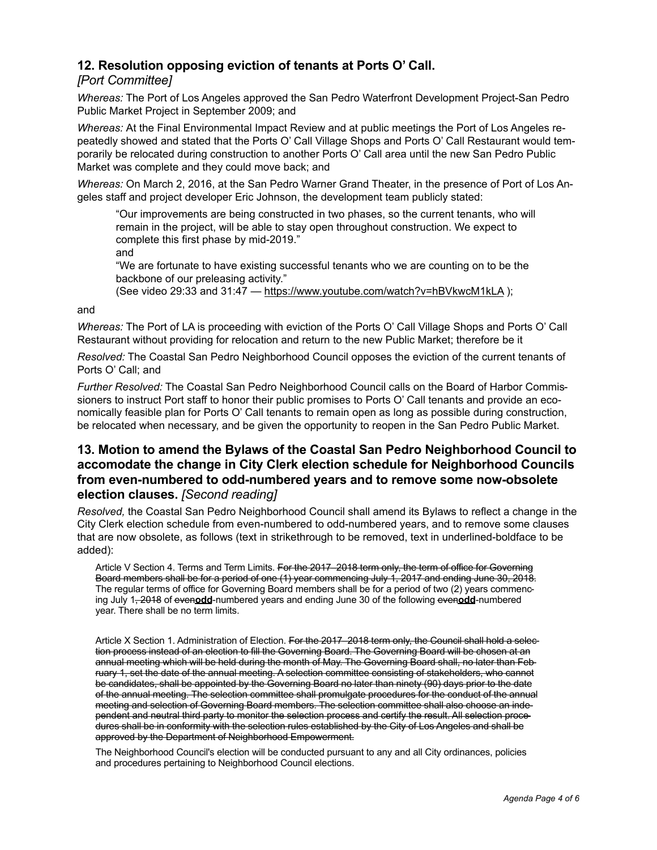## **12. Resolution opposing eviction of tenants at Ports O' Call.**

## *[Port Committee]*

*Whereas:* The Port of Los Angeles approved the San Pedro Waterfront Development Project-San Pedro Public Market Project in September 2009; and

*Whereas:* At the Final Environmental Impact Review and at public meetings the Port of Los Angeles repeatedly showed and stated that the Ports O' Call Village Shops and Ports O' Call Restaurant would temporarily be relocated during construction to another Ports O' Call area until the new San Pedro Public Market was complete and they could move back; and

*Whereas:* On March 2, 2016, at the San Pedro Warner Grand Theater, in the presence of Port of Los Angeles staff and project developer Eric Johnson, the development team publicly stated:

"Our improvements are being constructed in two phases, so the current tenants, who will remain in the project, will be able to stay open throughout construction. We expect to complete this first phase by mid-2019."

and

"We are fortunate to have existing successful tenants who we are counting on to be the backbone of our preleasing activity."

(See video 29:33 and 31:47 —<https://www.youtube.com/watch?v=hBVkwcM1kLA> );

#### and

*Whereas:* The Port of LA is proceeding with eviction of the Ports O' Call Village Shops and Ports O' Call Restaurant without providing for relocation and return to the new Public Market; therefore be it

*Resolved:* The Coastal San Pedro Neighborhood Council opposes the eviction of the current tenants of Ports O' Call; and

*Further Resolved:* The Coastal San Pedro Neighborhood Council calls on the Board of Harbor Commissioners to instruct Port staff to honor their public promises to Ports O' Call tenants and provide an economically feasible plan for Ports O' Call tenants to remain open as long as possible during construction, be relocated when necessary, and be given the opportunity to reopen in the San Pedro Public Market.

## **13. Motion to amend the Bylaws of the Coastal San Pedro Neighborhood Council to accomodate the change in City Clerk election schedule for Neighborhood Councils from even-numbered to odd-numbered years and to remove some now-obsolete election clauses.** *[Second reading]*

*Resolved,* the Coastal San Pedro Neighborhood Council shall amend its Bylaws to reflect a change in the City Clerk election schedule from even-numbered to odd-numbered years, and to remove some clauses that are now obsolete, as follows (text in strikethrough to be removed, text in underlined-boldface to be added):

Article V Section 4. Terms and Term Limits. For the 2017–2018 term only, the term of office for Governing Board members shall be for a period of one (1) year commencing July 1, 2017 and ending June 30, 2018. The regular terms of office for Governing Board members shall be for a period of two (2) years commencing July 1, 2018 of even**odd**-numbered years and ending June 30 of the following even**odd**-numbered year. There shall be no term limits.

Article X Section 1. Administration of Election. For the 2017–2018 term only, the Council shall hold a selection process instead of an election to fill the Governing Board. The Governing Board will be chosen at an annual meeting which will be held during the month of May. The Governing Board shall, no later than February 1, set the date of the annual meeting. A selection committee consisting of stakeholders, who cannot be candidates, shall be appointed by the Governing Board no later than ninety (90) days prior to the date of the annual meeting. The selection committee shall promulgate procedures for the conduct of the annual meeting and selection of Governing Board members. The selection committee shall also choose an independent and neutral third party to monitor the selection process and certify the result. All selection procedures shall be in conformity with the selection rules established by the City of Los Angeles and shall be approved by the Department of Neighborhood Empowerment.

The Neighborhood Council's election will be conducted pursuant to any and all City ordinances, policies and procedures pertaining to Neighborhood Council elections.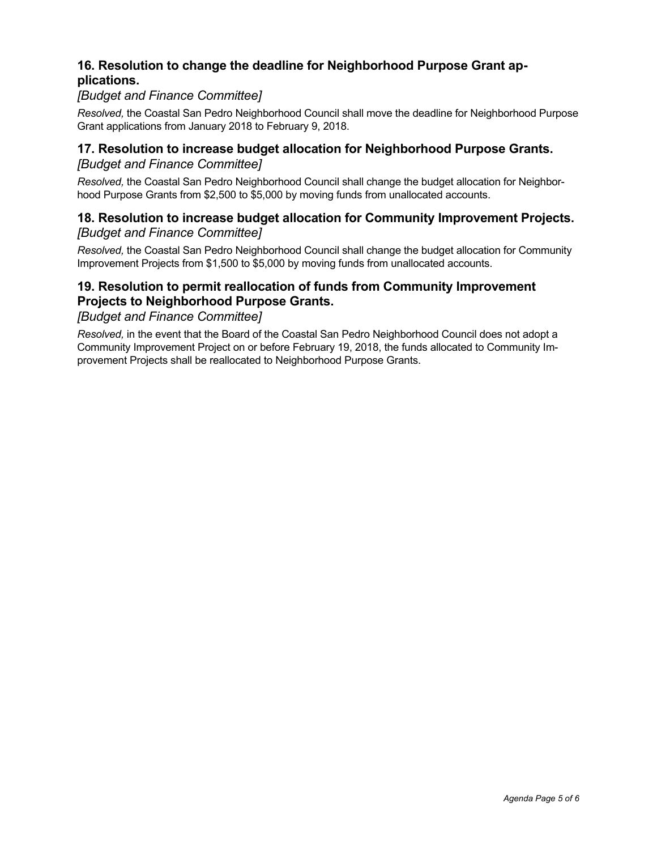## **16. Resolution to change the deadline for Neighborhood Purpose Grant applications.**

## *[Budget and Finance Committee]*

*Resolved,* the Coastal San Pedro Neighborhood Council shall move the deadline for Neighborhood Purpose Grant applications from January 2018 to February 9, 2018.

#### **17. Resolution to increase budget allocation for Neighborhood Purpose Grants.** *[Budget and Finance Committee]*

*Resolved,* the Coastal San Pedro Neighborhood Council shall change the budget allocation for Neighborhood Purpose Grants from \$2,500 to \$5,000 by moving funds from unallocated accounts.

## **18. Resolution to increase budget allocation for Community Improvement Projects.** *[Budget and Finance Committee]*

*Resolved,* the Coastal San Pedro Neighborhood Council shall change the budget allocation for Community Improvement Projects from \$1,500 to \$5,000 by moving funds from unallocated accounts.

## **19. Resolution to permit reallocation of funds from Community Improvement Projects to Neighborhood Purpose Grants.**

#### *[Budget and Finance Committee]*

*Resolved,* in the event that the Board of the Coastal San Pedro Neighborhood Council does not adopt a Community Improvement Project on or before February 19, 2018, the funds allocated to Community Improvement Projects shall be reallocated to Neighborhood Purpose Grants.